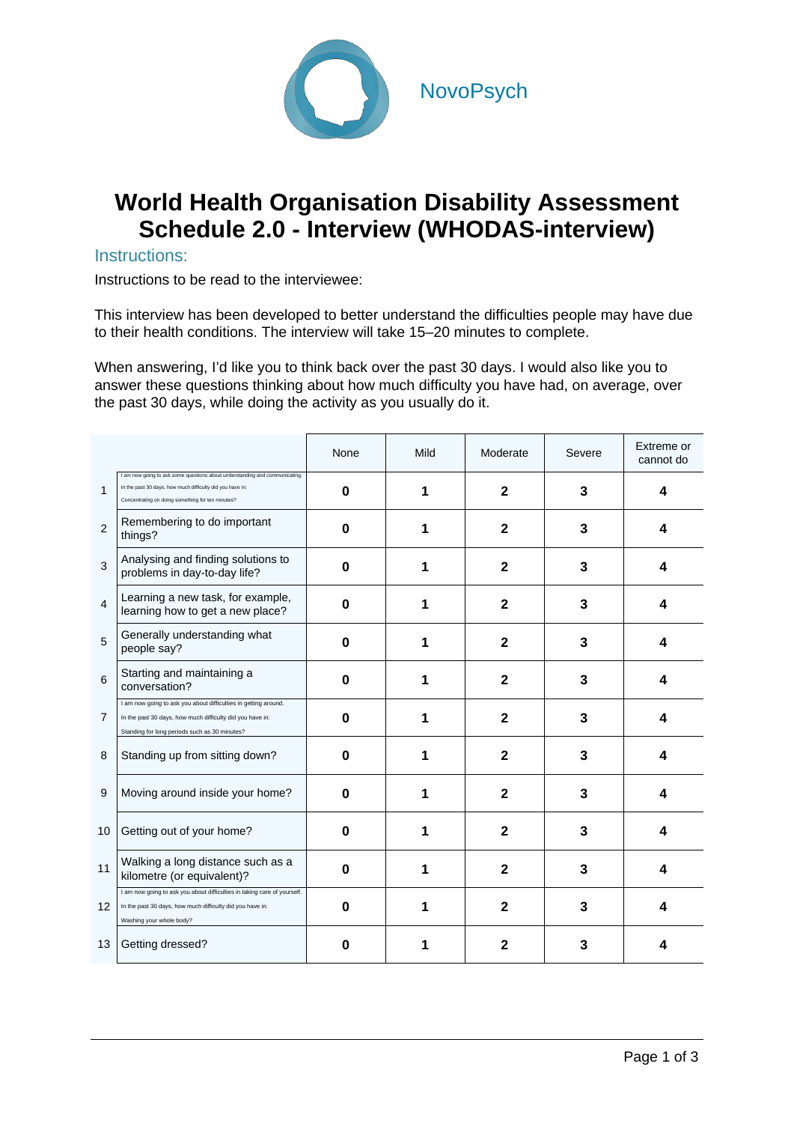

## **World Health Organisation Disability Assessment Schedule 2.0 - Interview (WHODAS-interview)**

## Instructions:

Instructions to be read to the interviewee:

This interview has been developed to better understand the difficulties people may have due to their health conditions. The interview will take 15–20 minutes to complete.

When answering, I'd like you to think back over the past 30 days. I would also like you to answer these questions thinking about how much difficulty you have had, on average, over the past 30 days, while doing the activity as you usually do it.

|                |                                                                                                                                                                                               | None     | Mild | Moderate     | Severe | Extreme or<br>cannot do |
|----------------|-----------------------------------------------------------------------------------------------------------------------------------------------------------------------------------------------|----------|------|--------------|--------|-------------------------|
| 1              | I am now going to ask some questions about understanding and communicating.<br>In the past 30 days, how much difficulty did you have in:<br>Concentrating on doing something for ten minutes? | $\bf{0}$ |      | 2            | 3      | 4                       |
| $\overline{2}$ | Remembering to do important<br>things?                                                                                                                                                        | O        |      | $\mathbf{2}$ | 3      | 4                       |
| 3              | Analysing and finding solutions to<br>problems in day-to-day life?                                                                                                                            | 0        |      | $\mathbf{2}$ | 3      | Δ                       |
| $\overline{4}$ | Learning a new task, for example,<br>learning how to get a new place?                                                                                                                         | 0        |      | $\mathbf 2$  | 3      |                         |
| 5              | Generally understanding what<br>people say?                                                                                                                                                   | O        |      | 2            | 3      | 4                       |
| 6              | Starting and maintaining a<br>conversation?                                                                                                                                                   | 0        |      | $\mathbf{2}$ | 3      | 4                       |
| $\overline{7}$ | I am now going to ask you about difficulties in getting around.<br>In the past 30 days, how much difficulty did you have in:<br>Standing for long periods such as 30 minutes?                 | O        |      | $\mathbf{2}$ | 3      | Δ                       |
| 8              | Standing up from sitting down?                                                                                                                                                                | 0        |      | 2            | 3      | 4                       |
| 9              | Moving around inside your home?                                                                                                                                                               | O        |      | $\mathbf{2}$ | 3      | Δ                       |
| 10             | Getting out of your home?                                                                                                                                                                     | O        |      | $\mathbf{2}$ | 3      | Δ                       |
| 11             | Walking a long distance such as a<br>kilometre (or equivalent)?                                                                                                                               | O        |      | 2            | 3      | 4                       |
| 12             | I am now going to ask you about difficulties in taking care of yourself.<br>In the past 30 days, how much difficulty did you have in:<br>Washing your whole body?                             | 0        |      | $\mathbf{2}$ | 3      | 4                       |
| 13             | Getting dressed?                                                                                                                                                                              | Ω        |      | 2            | 3      |                         |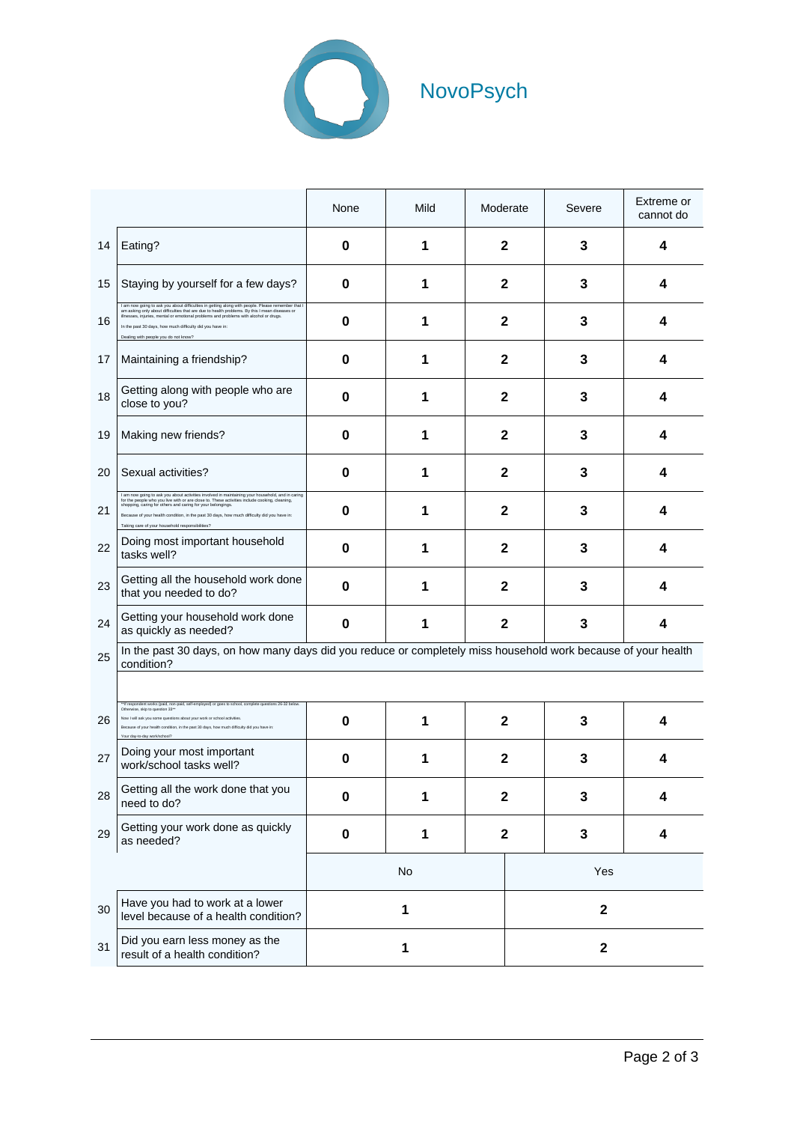

|    |                                                                                                                                                                                                                                                                                                                                                                                                                    | None      | Mild | Moderate         |              | Severe | Extreme or<br>cannot do |  |  |
|----|--------------------------------------------------------------------------------------------------------------------------------------------------------------------------------------------------------------------------------------------------------------------------------------------------------------------------------------------------------------------------------------------------------------------|-----------|------|------------------|--------------|--------|-------------------------|--|--|
| 14 | Eating?                                                                                                                                                                                                                                                                                                                                                                                                            | 0         | 1    | 2                |              | 3      | 4                       |  |  |
| 15 | Staying by yourself for a few days?                                                                                                                                                                                                                                                                                                                                                                                | 0         | 1    | $\mathbf 2$      |              | 3      | 4                       |  |  |
| 16 | I am now going to ask you about difficulties in getting along with people. Please<br>am asking only about difficulties that are due to health problems. By this I mean diseases or<br>illnesses, injuries, mental or emotional problems and problems with alcohol or drugs.<br>In the past 30 days, how much difficulty did you have in:<br>Dealing with people you do not know?                                   | 0         | 1    | $\mathbf{2}$     |              | 3      | 4                       |  |  |
| 17 | Maintaining a friendship?                                                                                                                                                                                                                                                                                                                                                                                          | 0         | 1    | $\mathbf{2}$     |              | 3      | 4                       |  |  |
| 18 | Getting along with people who are<br>close to you?                                                                                                                                                                                                                                                                                                                                                                 | $\bf{0}$  | 1    | $\mathbf{2}$     |              | 3      | 4                       |  |  |
| 19 | Making new friends?                                                                                                                                                                                                                                                                                                                                                                                                | 0         | 1    | $\mathbf{2}$     |              | 3      | 4                       |  |  |
| 20 | Sexual activities?                                                                                                                                                                                                                                                                                                                                                                                                 | 0         | 1    | $\mathbf{2}$     |              | 3      | 4                       |  |  |
| 21 | I am now going to ask you about activities involved in maintaining your household, and in caring<br>for the people who you live with or are close to. These activities include cooking, cleaning,<br>shopping, caring for others and caring for your belongings.<br>Because of your health condition, in the past 30 days, how much difficulty did you have in:<br>Taking care of your household responsibilities? | 0         | 1    | $\mathbf 2$      |              | 3      | 4                       |  |  |
| 22 | Doing most important household<br>tasks well?                                                                                                                                                                                                                                                                                                                                                                      | 0         | 1    | $\mathbf{2}$     |              | 3      | 4                       |  |  |
| 23 | Getting all the household work done<br>that you needed to do?                                                                                                                                                                                                                                                                                                                                                      | $\bf{0}$  | 1    | $\mathbf{2}$     |              | 3      | 4                       |  |  |
| 24 | Getting your household work done<br>as quickly as needed?                                                                                                                                                                                                                                                                                                                                                          | $\bf{0}$  | 1    | $\mathbf{2}$     |              | 3      | 4                       |  |  |
| 25 | In the past 30 days, on how many days did you reduce or completely miss household work because of your health<br>condition?                                                                                                                                                                                                                                                                                        |           |      |                  |              |        |                         |  |  |
|    | ** If respondent works (paid, non-paid, self-employed) or goes to school, complete questions 26-32 below                                                                                                                                                                                                                                                                                                           |           |      |                  |              |        |                         |  |  |
| 26 | e skin to question 33*<br>Now I will ask you some questions about your work or school activities<br>Because of your health condition, in the past 30 days, how much difficulty did you have in:<br>Your day-to-day work/school?                                                                                                                                                                                    | 0         | 1    | $\mathbf{2}$     |              | 3      | 4                       |  |  |
| 27 | Doing your most important<br>work/school tasks well?                                                                                                                                                                                                                                                                                                                                                               | 0         | 1    | $\mathbf{2}$     |              | 3      | 4                       |  |  |
| 28 | Getting all the work done that you<br>need to do?                                                                                                                                                                                                                                                                                                                                                                  | $\bf{0}$  | 1    | $\mathbf 2$      |              | 3      | 4                       |  |  |
| 29 | Getting your work done as quickly<br>as needed?                                                                                                                                                                                                                                                                                                                                                                    | $\pmb{0}$ | 1    | $\boldsymbol{2}$ |              | 3      | 4                       |  |  |
|    |                                                                                                                                                                                                                                                                                                                                                                                                                    | No        |      |                  | Yes          |        |                         |  |  |
| 30 | Have you had to work at a lower<br>level because of a health condition?                                                                                                                                                                                                                                                                                                                                            | 1         |      |                  | $\mathbf{2}$ |        |                         |  |  |
| 31 | Did you earn less money as the<br>result of a health condition?                                                                                                                                                                                                                                                                                                                                                    | 1         |      |                  | $\mathbf{2}$ |        |                         |  |  |